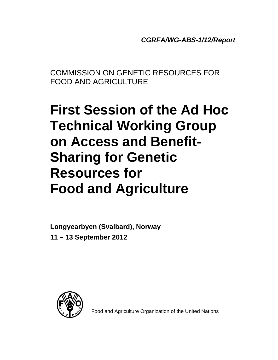*CGRFA/WG-ABS-1/12/Report* 

COMMISSION ON GENETIC RESOURCES FOR FOOD AND AGRICULTURE

# **First Session of the Ad Hoc Technical Working Group on Access and Benefit-Sharing for Genetic Resources for Food and Agriculture**

**Longyearbyen (Svalbard), Norway 11 – 13 September 2012** 



Food and Agriculture Organization of the United Nations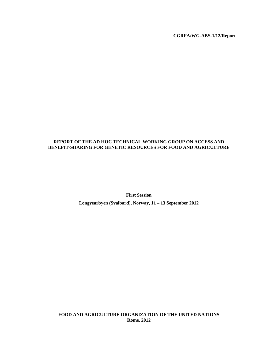**CGRFA/WG-ABS-1/12/Report** 

# **REPORT OF THE AD HOC TECHNICAL WORKING GROUP ON ACCESS AND BENEFIT-SHARING FOR GENETIC RESOURCES FOR FOOD AND AGRICULTURE**

**First Session Longyearbyen (Svalbard), Norway, 11 – 13 September 2012** 

**FOOD AND AGRICULTURE ORGANIZATION OF THE UNITED NATIONS Rome, 2012**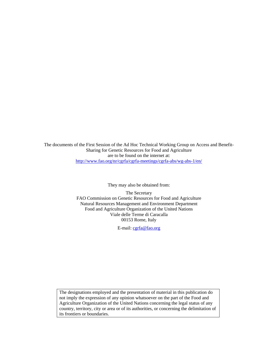The documents of the First Session of the Ad Hoc Technical Working Group on Access and Benefit-Sharing for Genetic Resources for Food and Agriculture are to be found on the internet at: http://www.fao.org/nr/cgrfa/cgrfa-meetings/cgrfa-abs/wg-abs-1/en/

They may also be obtained from:

The Secretary FAO Commission on Genetic Resources for Food and Agriculture Natural Resources Management and Environment Department Food and Agriculture Organization of the United Nations Viale delle Terme di Caracalla 00153 Rome, Italy

E-mail: cgrfa@fao.org

The designations employed and the presentation of material in this publication do not imply the expression of any opinion whatsoever on the part of the Food and Agriculture Organization of the United Nations concerning the legal status of any country, territory, city or area or of its authorities, or concerning the delimitation of its frontiers or boundaries.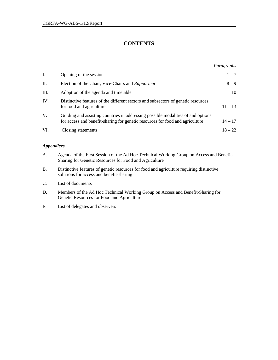# **CONTENTS**

|      |                                                                                                                                                                   | Paragraphs |
|------|-------------------------------------------------------------------------------------------------------------------------------------------------------------------|------------|
| Ι.   | Opening of the session                                                                                                                                            | $1 - 7$    |
| П.   | Election of the Chair, Vice-Chairs and Rapporteur                                                                                                                 | $8 - 9$    |
| III. | Adoption of the agenda and timetable                                                                                                                              | 10         |
| IV.  | Distinctive features of the different sectors and subsectors of genetic resources<br>for food and agriculture                                                     | $11 - 13$  |
| V.   | Guiding and assisting countries in addressing possible modalities of and options<br>for access and benefit-sharing for genetic resources for food and agriculture | $14 - 17$  |
| VI.  | Closing statements                                                                                                                                                | $18 - 22$  |

# *Appendices*

- A. Agenda of the First Session of the Ad Hoc Technical Working Group on Access and Benefit-Sharing for Genetic Resources for Food and Agriculture
- B. Distinctive features of genetic resources for food and agriculture requiring distinctive solutions for access and benefit-sharing
- C. List of documents
- D. Members of the Ad Hoc Technical Working Group on Access and Benefit-Sharing for Genetic Resources for Food and Agriculture
- E. List of delegates and observers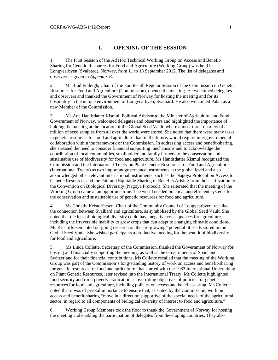# **I. OPENING OF THE SESSION**

1. The First Session of the Ad Hoc Technical Working Group on Access and Benefit-Sharing for Genetic Resources for Food and Agriculture (Working Group) was held in Longyearbyen (Svalbard), Norway, from 11 to 13 September 2012. The list of delegates and observers is given in *Appendix E*.

2. Mr Brad Fraleigh, Chair of the Fourteenth Regular Session of the Commission on Genetic Resources for Food and Agriculture (Commission), opened the meeting. He welcomed delegates and observers and thanked the Government of Norway for hosting the meeting and for its hospitality in the unique environment of Longyearbyen, Svalbard. He also welcomed Palau as a new Member of the Commission.

3. Ms Ane Handsdatter Kismul, Political Advisor to the Minister of Agriculture and Food, Government of Norway, welcomed delegates and observers and highlighted the importance of holding the meeting at the location of the Global Seed Vault, where almost three-quarters of a million of seed samples from all over the world were stored. She noted that there were many tasks in genetic resources for food and agriculture that, in the future, would require intergovernmental collaboration within the framework of the Commission. In addressing access and benefit-sharing, she stressed the need to consider financial supporting mechanisms and to acknowledge the contribution of local communities, smallholder and family farmers to the conservation and sustainable use of biodiversity for food and agriculture. Ms Handsdatter Kismul recognized the Commission and the International Treaty on Plant Genetic Resources for Food and Agriculture (International Treaty) as two important governance instruments at the global level and also acknowledged other relevant international instruments, such as the Nagoya Protocol on Access to Genetic Resources and the Fair and Equitable Sharing of Benefits Arising from their Utilization to the Convention on Biological Diversity (Nagoya Protocol). She reiterated that the meeting of the Working Group came at an opportune time. The world needed practical and efficient systems for the conservation and sustainable use of genetic resources for food and agriculture.

4. Ms Christin Kristoffersen, Chair of the Community Council of Longyearbyen, recalled the connection between Svalbard and agriculture, as symbolized by the Global Seed Vault. She noted that the loss of biological diversity could have negative consequences for agriculture, including the irreversible inability to grow crops that can adapt to changing climatic conditions. Ms Kristoffersen noted on-going research on the "re-growing" potential of seeds stored in the Global Seed Vault. She wished participants a productive meeting for the benefit of biodiversity for food and agriculture.

5. Ms Linda Collette, Secretary of the Commission, thanked the Government of Norway for hosting and financially supporting the meeting, as well as the Governments of Spain and Switzerland for their financial contributions. Ms Collette recalled that the meeting of the Working Group was part of the Commission's long-standing history of work on access and benefit-sharing for genetic resources for food and agriculture, that started with the 1983 International Undertaking on Plant Genetic Resources, later revised into the International Treaty. Ms Collette highlighted food security and rural poverty eradication as overriding objectives of policies for genetic resources for food and agriculture, including policies on access and benefit-sharing. Ms Collette noted that it was of pivotal importance to ensure that, as stated by the Commission, work on access and benefit-sharing "move in a direction supportive of the special needs of the agricultural sector, in regard to all components of biological diversity of interest to food and agriculture."

6. Working Group Members took the floor to thank the Government of Norway for hosting the meeting and enabling the participation of delegates from developing countries. They also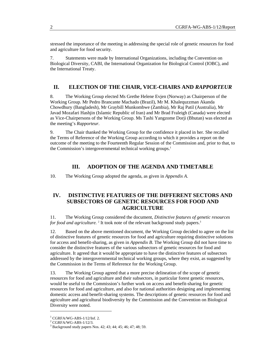stressed the importance of the meeting in addressing the special role of genetic resources for food and agriculture for food security.

7. Statements were made by International Organizations, including the Convention on Biological Diversity, CABI, the International Organization for Biological Control (IOBC), and the International Treaty.

# **II. ELECTION OF THE CHAIR, VICE-CHAIRS AND** *RAPPORTEUR*

8. The Working Group elected Ms Grethe Helene Evjen (Norway) as Chairperson of the Working Group. Mr Pedro Brancante Machado (Brazil), Mr M. Khalequzzman Akanda Chowdhury (Bangladesh), Mr Graybill Munkombwe (Zambia), Mr Raj Patil (Australia), Mr Javad Mozafari Hashjin (Islamic Republic of Iran) and Mr Brad Fraleigh (Canada) were elected as Vice-Chairpersons of the Working Group. Ms Tashi Yangzome Dorji (Bhutan) was elected as the meeting's *Rapporteur*.

9. The Chair thanked the Working Group for the confidence it placed in her. She recalled the Terms of Reference of the Working Group according to which it provides a report on the outcome of the meeting to the Fourteenth Regular Session of the Commission and, prior to that, to the Commission's intergovernmental technical working groups.<sup>1</sup>

#### **III. ADOPTION OF THE AGENDA AND TIMETABLE**

10. The Working Group adopted the agenda, as given in *Appendix A*.

# **IV. DISTINCTIVE FEATURES OF THE DIFFERENT SECTORS AND SUBSECTORS OF GENETIC RESOURCES FOR FOOD AND AGRICULTURE**

11. The Working Group considered the document, *Distinctive features of genetic resources for food and agriculture.* <sup>2</sup> It took note of the relevant background study papers.<sup>3</sup>

12. Based on the above mentioned document, the Working Group decided to agree on the list of distinctive features of genetic resources for food and agriculture requiring distinctive solutions for access and benefit-sharing, as given in *Appendix B*. The Working Group did not have time to consider the distinctive features of the various subsectors of genetic resources for food and agriculture. It agreed that it would be appropriate to have the distinctive features of subsectors addressed by the intergovernmental technical working groups, where they exist, as suggested by the Commission in the Terms of Reference for the Working Group.

13. The Working Group agreed that a more precise delineation of the scope of genetic resources for food and agriculture and their subsectors, in particular forest genetic resources, would be useful to the Commission's further work on access and benefit-sharing for genetic resources for food and agriculture, and also for national authorities designing and implementing domestic access and benefit-sharing systems. The descriptions of genetic resources for food and agriculture and agricultural biodiversity by the Commission and the Convention on Biological Diversity were noted.

l

<sup>1</sup> CGRFA/WG-ABS-1/12/Inf. 2.

<sup>2</sup> CGRFA/WG-ABS-1/12/3.

<sup>3</sup> Background study papers Nos. 42; 43; 44; 45; 46; 47; 48; 59.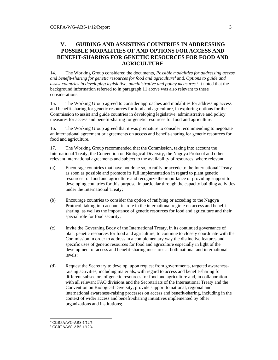# **V. GUIDING AND ASSISTING COUNTRIES IN ADDRESSING POSSIBLE MODALITIES OF AND OPTIONS FOR ACCESS AND BENEFIT-SHARING FOR GENETIC RESOURCES FOR FOOD AND AGRICULTURE**

14. The Working Group considered the documents, *Possible modalities for addressing access and benefit-sharing for genetic resources for food and agriculture*<sup>4</sup> and, *Options to guide and assist countries in developing legislative, administrative and policy measures.*<sup>5</sup> It noted that the background information referred to in paragraph 11 above was also relevant to these considerations.

15. The Working Group agreed to consider approaches and modalities for addressing access and benefit-sharing for genetic resources for food and agriculture, in exploring options for the Commission to assist and guide countries in developing legislative, administrative and policy measures for access and benefit-sharing for genetic resources for food and agriculture.

16. The Working Group agreed that it was premature to consider recommending to negotiate an international agreement or agreements on access and benefit-sharing for genetic resources for food and agriculture.

17. The Working Group recommended that the Commission, taking into account the International Treaty, the Convention on Biological Diversity, the Nagoya Protocol and other relevant international agreements and subject to the availability of resources, where relevant:

- (a) Encourage countries that have not done so, to ratify or accede to the International Treaty as soon as possible and promote its full implementation in regard to plant genetic resources for food and agriculture and recognize the importance of providing support to developing countries for this purpose, in particular through the capacity building activities under the International Treaty;
- (b) Encourage countries to consider the option of ratifying or acceding to the Nagoya Protocol, taking into account its role in the international regime on access and benefitsharing, as well as the importance of genetic resources for food and agriculture and their special role for food security;
- (c) Invite the Governing Body of the International Treaty, in its continued governance of plant genetic resources for food and agriculture, to continue to closely coordinate with the Commission in order to address in a complementary way the distinctive features and specific uses of genetic resources for food and agriculture especially in light of the development of access and benefit-sharing measures at both national and international levels;
- (d) Request the Secretary to develop, upon request from governments, targeted awarenessraising activities, including materials, with regard to access and benefit-sharing for different subsectors of genetic resources for food and agriculture and, in collaboration with all relevant FAO divisions and the Secretariats of the International Treaty and the Convention on Biological Diversity, provide support to national, regional and international awareness-raising processes on access and benefit-sharing, including in the context of wider access and benefit-sharing initiatives implemented by other organizations and institutions;

 4 CGRFA/WG-ABS-1/12/5.

<sup>5</sup> CGRFA/WG-ABS-1/12/4.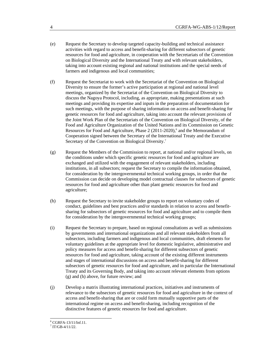- (e) Request the Secretary to develop targeted capacity-building and technical assistance activities with regard to access and benefit-sharing for different subsectors of genetic resources for food and agriculture, in cooperation with the Secretariats of the Convention on Biological Diversity and the International Treaty and with relevant stakeholders, taking into account existing regional and national institutions and the special needs of farmers and indigenous and local communities;
- (f) Request the Secretariat to work with the Secretariat of the Convention on Biological Diversity to ensure the former's active participation at regional and national level meetings, organized by the Secretariat of the Convention on Biological Diversity to discuss the Nagoya Protocol, including, as appropriate, making presentations at such meetings and providing its expertise and inputs in the preparation of documentation for such meetings, with the purpose of sharing information on access and benefit-sharing for genetic resources for food and agriculture, taking into account the relevant provisions of the Joint Work Plan of the Secretariats of the Convention on Biological Diversity, of the Food and Agriculture Organization of the United Nations and its Commission on Genetic Resources for Food and Agriculture, Phase 2 (2011-2020),<sup>6</sup> and the Memorandum of Cooperation signed between the Secretary of the International Treaty and the Executive Secretary of the Convention on Biological Diversity.<sup>7</sup>
- (g) Request the Members of the Commission to report, at national and/or regional levels, on the conditions under which specific genetic resources for food and agriculture are exchanged and utilized with the engagement of relevant stakeholders, including institutions, in all subsectors; request the Secretary to compile the information obtained, for consideration by the intergovernmental technical working groups, in order that the Commission can decide on developing model contractual clauses for subsectors of genetic resources for food and agriculture other than plant genetic resources for food and agriculture;
- (h) Request the Secretary to invite stakeholder groups to report on voluntary codes of conduct, guidelines and best practices and/or standards in relation to access and benefitsharing for subsectors of genetic resources for food and agriculture and to compile them for consideration by the intergovernmental technical working groups;
- (i) Request the Secretary to prepare, based on regional consultations as well as submissions by governments and international organizations and all relevant stakeholders from all subsectors, including farmers and indigenous and local communities, draft elements for voluntary guidelines at the appropriate level for domestic legislative, administrative and policy measures for access and benefit-sharing for different subsectors of genetic resources for food and agriculture, taking account of the existing different instruments and stages of international discussions on access and benefit-sharing for different subsectors of genetic resources for food and agriculture, and in particular the International Treaty and its Governing Body, and taking into account relevant elements from options (g) and (h) above, for future review; and
- (j) Develop a matrix illustrating international practices, initiatives and instruments of relevance to the subsectors of genetic resources for food and agriculture in the context of access and benefit-sharing that are or could form mutually supportive parts of the international regime on access and benefit-sharing, including recognition of the distinctive features of genetic resources for food and agriculture.

 6 CGRFA-13/11/Inf.11.

 $7$  IT/GB-4/11/22.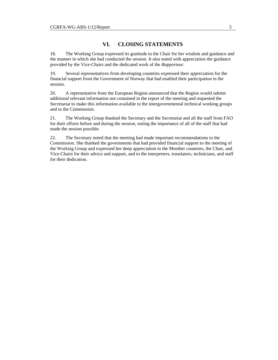# **VI. CLOSING STATEMENTS**

18. The Working Group expressed its gratitude to the Chair for her wisdom and guidance and the manner in which she had conducted the session. It also noted with appreciation the guidance provided by the Vice-Chairs and the dedicated work of the *Rapporteur*.

19. Several representatives from developing countries expressed their appreciation for the financial support from the Government of Norway that had enabled their participation in the session.

20. A representative from the European Region announced that the Region would submit additional relevant information not contained in the report of the meeting and requested the Secretariat to make this information available to the intergovernmental technical working groups and to the Commission.

21. The Working Group thanked the Secretary and the Secretariat and all the staff from FAO for their efforts before and during the session, noting the importance of all of the staff that had made the session possible.

22. The Secretary noted that the meeting had made important recommendations to the Commission. She thanked the governments that had provided financial support to the meeting of the Working Group and expressed her deep appreciation to the Member countries, the Chair, and Vice-Chairs for their advice and support, and to the interpreters, translators, technicians, and staff for their dedication.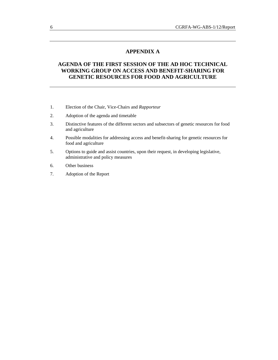# **APPENDIX A**

# **AGENDA OF THE FIRST SESSION OF THE AD HOC TECHNICAL WORKING GROUP ON ACCESS AND BENEFIT-SHARING FOR GENETIC RESOURCES FOR FOOD AND AGRICULTURE**

- 1. Election of the Chair, Vice-Chairs and *Rapporteur*
- 2. Adoption of the agenda and timetable
- 3. Distinctive features of the different sectors and subsectors of genetic resources for food and agriculture
- 4. Possible modalities for addressing access and benefit-sharing for genetic resources for food and agriculture
- 5. Options to guide and assist countries, upon their request, in developing legislative, administrative and policy measures
- 6. Other business
- 7. Adoption of the Report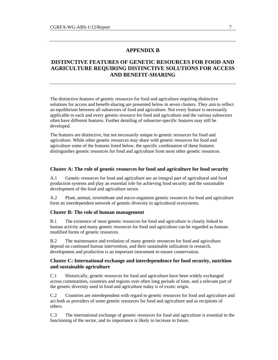# **APPENDIX B**

# **DISTINCTIVE FEATURES OF GENETIC RESOURCES FOR FOOD AND AGRICULTURE REQUIRING DISTINCTIVE SOLUTIONS FOR ACCESS AND BENEFIT-SHARING**

The distinctive features of genetic resources for food and agriculture requiring distinctive solutions for access and benefit-sharing are presented below in seven clusters. They aim to reflect an equilibrium between all subsectors of food and agriculture. Not every feature is necessarily applicable to each and every genetic resource for food and agriculture and the various subsectors often have different features. Further detailing of subsector-specific features may still be developed.

The features are distinctive, but not necessarily unique to genetic resources for food and agriculture. While other genetic resources may share with genetic resources for food and agriculture some of the features listed below, the specific combination of these features distinguishes genetic resources for food and agriculture from most other genetic resources.

#### **Cluster A: The role of genetic resources for food and agriculture for food security**

A.1 Genetic resources for food and agriculture are an integral part of agricultural and food production systems and play an essential role for achieving food security and the sustainable development of the food and agriculture sector.

A.2 Plant, animal, invertebrate and micro-organism genetic resources for food and agriculture form an interdependent network of genetic diversity in agricultural ecosystems.

#### **Cluster B: The role of human management**

B.1 The existence of most genetic resources for food and agriculture is closely linked to human activity and many genetic resources for food and agriculture can be regarded as humanmodified forms of genetic resources.

B.2 The maintenance and evolution of many genetic resources for food and agriculture depend on continued human intervention, and their sustainable utilization in research, development and production is an important instrument to ensure conservation.

#### **Cluster C: International exchange and interdependence for food security, nutrition and sustainable agriculture**

C.1 Historically, genetic resources for food and agriculture have been widely exchanged across communities, countries and regions over often long periods of time, and a relevant part of the genetic diversity used in food and agriculture today is of exotic origin.

C.2 Countries are interdependent with regard to genetic resources for food and agriculture and act both as providers of some genetic resources for food and agriculture and as recipients of others.

C.3 The international exchange of genetic resources for food and agriculture is essential to the functioning of the sector, and its importance is likely to increase in future.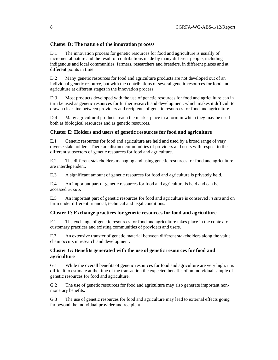#### **Cluster D: The nature of the innovation process**

D.1 The innovation process for genetic resources for food and agriculture is usually of incremental nature and the result of contributions made by many different people, including indigenous and local communities, farmers, researchers and breeders, in different places and at different points in time.

D.2 Many genetic resources for food and agriculture products are not developed out of an individual genetic resource, but with the contributions of several genetic resources for food and agriculture at different stages in the innovation process.

D.3 Most products developed with the use of genetic resources for food and agriculture can in turn be used as genetic resources for further research and development, which makes it difficult to draw a clear line between providers and recipients of genetic resources for food and agriculture.

D.4 Many agricultural products reach the market place in a form in which they may be used both as biological resources and as genetic resources.

#### **Cluster E: Holders and users of genetic resources for food and agriculture**

E.1 Genetic resources for food and agriculture are held and used by a broad range of very diverse stakeholders. There are distinct communities of providers and users with respect to the different subsectors of genetic resources for food and agriculture.

E.2 The different stakeholders managing and using genetic resources for food and agriculture are interdependent.

E.3 A significant amount of genetic resources for food and agriculture is privately held.

E.4 An important part of genetic resources for food and agriculture is held and can be accessed *ex situ*.

E.5 An important part of genetic resources for food and agriculture is conserved *in situ* and on farm under different financial, technical and legal conditions.

#### **Cluster F: Exchange practices for genetic resources for food and agriculture**

F.1 The exchange of genetic resources for food and agriculture takes place in the context of customary practices and existing communities of providers and users.

F.2 An extensive transfer of genetic material between different stakeholders along the value chain occurs in research and development.

#### **Cluster G: Benefits generated with the use of genetic resources for food and agriculture**

G.1 While the overall benefits of genetic resources for food and agriculture are very high, it is difficult to estimate at the time of the transaction the expected benefits of an individual sample of genetic resources for food and agriculture.

G.2 The use of genetic resources for food and agriculture may also generate important nonmonetary benefits.

G.3 The use of genetic resources for food and agriculture may lead to external effects going far beyond the individual provider and recipient.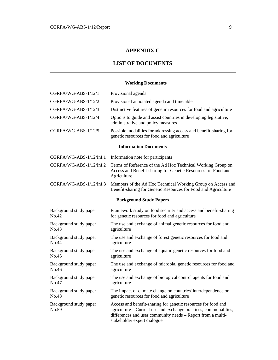# **APPENDIX C**

# **LIST OF DOCUMENTS**

# **Working Documents**

| CGRFA/WG-ABS-1/12/1             | Provisional agenda                                                                                                                                                                                                              |  |  |  |  |
|---------------------------------|---------------------------------------------------------------------------------------------------------------------------------------------------------------------------------------------------------------------------------|--|--|--|--|
| CGRFA/WG-ABS-1/12/2             | Provisional annotated agenda and timetable                                                                                                                                                                                      |  |  |  |  |
| CGRFA/WG-ABS-1/12/3             | Distinctive features of genetic resources for food and agriculture                                                                                                                                                              |  |  |  |  |
| CGRFA/WG-ABS-1/12/4             | Options to guide and assist countries in developing legislative,<br>administrative and policy measures                                                                                                                          |  |  |  |  |
| CGRFA/WG-ABS-1/12/5             | Possible modalities for addressing access and benefit-sharing for<br>genetic resources for food and agriculture                                                                                                                 |  |  |  |  |
|                                 | <b>Information Documents</b>                                                                                                                                                                                                    |  |  |  |  |
| CGRFA/WG-ABS-1/12/Inf.1         | Information note for participants                                                                                                                                                                                               |  |  |  |  |
| CGRFA/WG-ABS-1/12/Inf.2         | Terms of Reference of the Ad Hoc Technical Working Group on<br>Access and Benefit-sharing for Genetic Resources for Food and<br>Agriculture                                                                                     |  |  |  |  |
| CGRFA/WG-ABS-1/12/Inf.3         | Members of the Ad Hoc Technical Working Group on Access and<br>Benefit-sharing for Genetic Resources for Food and Agriculture                                                                                                   |  |  |  |  |
| <b>Background Study Papers</b>  |                                                                                                                                                                                                                                 |  |  |  |  |
| Background study paper<br>No.42 | Framework study on food security and access and benefit-sharing<br>for genetic resources for food and agriculture                                                                                                               |  |  |  |  |
| Background study paper<br>No.43 | The use and exchange of animal genetic resources for food and<br>agriculture                                                                                                                                                    |  |  |  |  |
| Background study paper<br>No.44 | The use and exchange of forest genetic resources for food and<br>agriculture                                                                                                                                                    |  |  |  |  |
| Background study paper<br>No.45 | The use and exchange of aquatic genetic resources for food and<br>agriculture                                                                                                                                                   |  |  |  |  |
| Background study paper<br>No.46 | The use and exchange of microbial genetic resources for food and<br>agriculture                                                                                                                                                 |  |  |  |  |
| Background study paper<br>No.47 | The use and exchange of biological control agents for food and<br>agriculture                                                                                                                                                   |  |  |  |  |
| Background study paper<br>No.48 | The impact of climate change on countries' interdependence on<br>genetic resources for food and agriculture                                                                                                                     |  |  |  |  |
| Background study paper<br>No.59 | Access and benefit-sharing for genetic resources for food and<br>agriculture - Current use and exchange practices, commonalities,<br>differences and user community needs - Report from a multi-<br>stakeholder expert dialogue |  |  |  |  |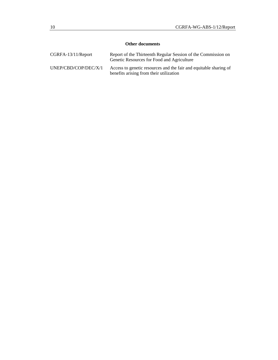# **Other documents**

| $CGRFA-13/11/Report$ | Report of the Thirteenth Regular Session of the Commission on<br>Genetic Resources for Food and Agriculture  |
|----------------------|--------------------------------------------------------------------------------------------------------------|
| UNEP/CBD/COP/DEC/X/1 | Access to genetic resources and the fair and equitable sharing of<br>benefits arising from their utilization |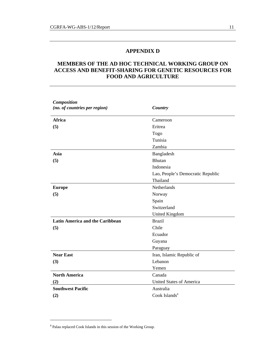# **APPENDIX D**

# **MEMBERS OF THE AD HOC TECHNICAL WORKING GROUP ON ACCESS AND BENEFIT-SHARING FOR GENETIC RESOURCES FOR FOOD AND AGRICULTURE**

| <b>Composition</b><br>(no. of countries per region) | Country                           |  |
|-----------------------------------------------------|-----------------------------------|--|
| <b>Africa</b>                                       | Cameroon                          |  |
| (5)                                                 | Eritrea                           |  |
|                                                     | Togo                              |  |
|                                                     | Tunisia                           |  |
|                                                     | Zambia                            |  |
| Asia                                                | Bangladesh                        |  |
| (5)                                                 | <b>Bhutan</b>                     |  |
|                                                     | Indonesia                         |  |
|                                                     | Lao, People's Democratic Republic |  |
|                                                     | Thailand                          |  |
| <b>Europe</b>                                       | <b>Netherlands</b>                |  |
| (5)                                                 | Norway                            |  |
|                                                     | Spain                             |  |
|                                                     | Switzerland                       |  |
|                                                     | <b>United Kingdom</b>             |  |
| <b>Latin America and the Caribbean</b>              | <b>Brazil</b>                     |  |
| (5)                                                 | Chile                             |  |
|                                                     | Ecuador                           |  |
|                                                     | Guyana                            |  |
|                                                     | Paraguay                          |  |
| <b>Near East</b>                                    | Iran, Islamic Republic of         |  |
| (3)                                                 | Lebanon                           |  |
|                                                     | Yemen                             |  |
| <b>North America</b>                                | Canada                            |  |
| (2)                                                 | United States of America          |  |
| <b>Southwest Pacific</b>                            | Australia                         |  |
| (2)                                                 | Cook Islands <sup>8</sup>         |  |

l

<sup>8</sup> Palau replaced Cook Islands in this session of the Working Group.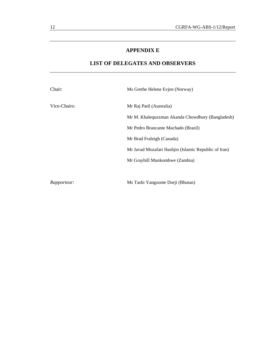# **APPENDIX E**

# **LIST OF DELEGATES AND OBSERVERS**

| Chair:             | Ms Grethe Helene Evjen (Norway)                      |
|--------------------|------------------------------------------------------|
| Vice-Chairs:       | Mr Raj Patil (Australia)                             |
|                    | Mr M. Khalequzzman Akanda Chowdhury (Bangladesh)     |
|                    | Mr Pedro Brancante Machado (Brazil)                  |
|                    | Mr Brad Fraleigh (Canada)                            |
|                    | Mr Javad Mozafari Hashiin (Islamic Republic of Iran) |
|                    | Mr Graybill Munkombwe (Zambia)                       |
|                    |                                                      |
| <i>Rapporteur:</i> | Ms Tashi Yangzome Dorji (Bhutan)                     |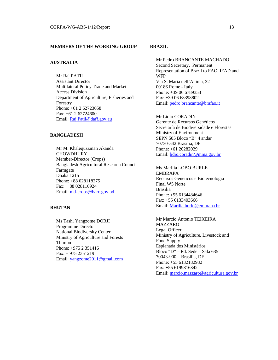#### **MEMBERS OF THE WORKING GROUP**

#### **AUSTRALIA**

Mr Raj PATIL Assistant Director Multilateral Policy Trade and Market Access Division Department of Agriculture, Fisheries and Forestry Phone: +61 2 62723058 Fax: +61 2 62724600 Email: Raj.Patil@daff.gov.au

## **BANGLADESH**

Mr M. Khalequzzman Akanda **CHOWDHURY** Member-Director (Crops) Bangladesh Agricultural Research Council Farmgate Dhaka 1215 Phone: +88 028118275 Fax: + 88 028110924 Email: md-crops@barc.gov.bd

#### **BHUTAN**

Ms Tashi Yangzome DORJI Programme Director National Biodiversity Center Ministry of Agriculture and Forests Thimpu Phone: +975 2 351416 Fax: + 975 2351219 Email: yangzome2011@gmail.com

#### **BRAZIL**

Mr Pedro BRANCANTE MACHADO Second Secretary, Permanent Representation of Brazil to FAO, IFAD and WFP Via S. Maria dell'Anima, 32 00186 Rome - Italy Phone: +39 06 6789353 Fax: +39 06 68398802 Email: pedro.brancante@brafao.it

Mr Lidio CORADIN Gerente de Recursos Genéticos Secretaría de Biodiversidade e Florestas Ministry of Environment SEPN 505 Bloco "B" 4 andar 70730-542 Brasilia, DF Phone: +61 20282029 Email: lidio.coradin@mma.gov.br

Ms Marilia LOBO BURLE EMBRAPA Recursos Genéticos e Biotecnología Final W5 Norte Brasilia Phone: +55 6134484646 Fax: +55 6133403666 Email: Marilia.burle@embrapa.br

Mr Marcio Antonio TEIXEIRA MAZZARO Legal Officer Ministry of Agriculture, Livestock and Food Supply Esplanada dos Ministérios Bloco "D" – Ed. Sede – Sala 635 70043-900 – Brasilia, DF Phone: +55 6132182932 Fax: +55 6199816342 Email: marcio.mazzaro@agricultura.gov.br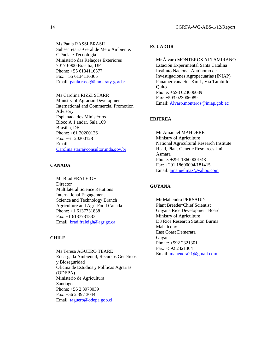Ms Paula RASSI BRASIL Subsecretaria-Geral de Meio Ambiente, Ciência e Tecnologia Ministério das Relações Exteriores 70170-900 Brasilia, DF Phone: +55 6134116377 Fax: +55 6134116365 Email: paula.rassi@itamaraty.gov.br

Ms Carolina RIZZI STARR Ministry of Agrarian Development International and Commercial Promotion Advisory Esplanada dos Ministérios Bloco A 1 andar, Sala 109 Brasilia, DF Phone: +61 20200126 Fax: +61 20200128 Email: Carolina.starr@consultor.mda.gov.br

# **CANADA**

Mr Brad FRALEIGH **Director** Multilateral Science Relations International Engagement Science and Technology Branch Agriculture and Agri-Food Canada Phone: +1 6137731838 Fax: +1 6137731833 Email: brad.fraleigh@agr.gc.ca

#### **CHILE**

Ms Teresa AGÜERO TEARE Encargada Ambiental, Recursos Genéticos y Bioseguridad Oficina de Estudios y Políticas Agrarias (ODEPA) Ministerio de Agricultura Santiago Phone: +56 2 3973039 Fax: +56 2 397 3044 Email: taguero@odepa.gob.cl

#### **ECUADOR**

Mr Álvaro MONTEROS ALTAMIRANO Estación Experimental Santa Catalina Instituto Nacional Autónomo de Investigaciones Agropecuarias (INIAP) Panamericana Sur Km 1, Via Tambillo **Ouito** Phone: +593 023006089 Fax: +593 023006089 Email: Alvaro.monteros@iniap.gob.ec

#### **ERITREA**

Mr Amanuel MAHDERE Ministry of Agriculture National Agricultural Research Institute Head, Plant Genetic Resources Unit Asmara Phone: +291 18600001/48 Fax: +291 18600004/181415 Email: amanuelmaz@yahoo.com

#### **GUYANA**

Mr Mahendra PERSAUD Plant Breeder/Chief Scientist Guyana Rice Development Board Ministry of Agriculture D3 Rice Research Station Burma Mahaicony East Coast Demerara Guyana Phone: +592 2321301 Fax: +592 2321304 Email: mahendra21@gmail.com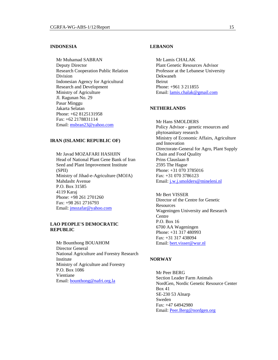#### **INDONESIA**

Mr Muhamad SABRAN Deputy Director Research Cooperation Public Relation Division Indonesian Agency for Agricultural Research and Development Ministry of Agriculture Jl. Ragunan No. 29 Pasar Minggu Jakarta Selatan Phone: +62 8125131958 Fax: +62 2178831114 Email: msbran23@yahoo.com

#### **IRAN (ISLAMIC REPUBLIC OF)**

Mr Javad MOZAFARI HASHJIN Head of National Plant Gene Bank of Iran Seed and Plant Improvement Institute (SPII) Ministry of Jihad-e-Agriculture (MOJA) Mahdasht Avenue P.O. Box 31585 4119 Karaj Phone: +98 261 2701260 Fax: +98 261 2716793 Email: jmozafar@yahoo.com

#### **LAO PEOPLE'S DEMOCRATIC REPUBLIC**

Mr Bounthong BOUAHOM Director General National Agriculture and Forestry Research Institute Ministry of Agriculture and Forestry P.O. Box 1086 Vientiane Email: bounthong@nafri.org.la

#### **LEBANON**

Mr Lamis CHALAK Plant Genetic Resources Advisor Professor at the Lebanese University Dekwaneh Beirut Phone: +961 3 211855 Email: lamis.chalak@gmail.com

#### **NETHERLANDS**

Mr Hans SMOLDERS Policy Advisor - genetic resources and phytosanitary research Ministry of Economic Affairs, Agriculture and Innovation Directorate-General for Agro, Plant Supply Chain and Food Quality Prins Clauslaan 8 2595 The Hague Phone: +31 070 3785016 Fax: +31 070 3786123 Email: j.w.j.smolders@mineleni.nl

Mr Bert VISSER Director of the Centre for Genetic Resources Wageningen University and Research Centre P.O. Box 16 6700 AA Wageningen Phone: +31 317 480993 Fax: +31 317 438094 Email: bert.visser@wur.nl

#### **NORWAY**

Mr Peer BERG Section Leader Farm Animals NordGen, Nordic Genetic Resource Center Box 41 SE-230 53 Alnarp Sweden Fax: +47 64942980 Email: Peer.Berg@nordgen.org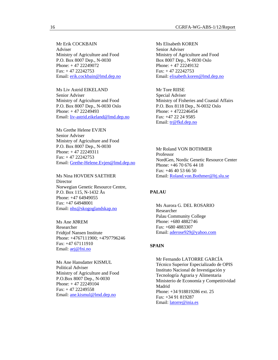Mr Erik COCKBAIN Adviser Ministry of Agriculture and Food P.O. Box 8007 Dep., N-0030 Phone: + 47 22249072  $Fast: + 47 22242753$ Email: erik.cockbain@lmd.dep.no

Ms Liv Astrid EIKELAND Senior Adviser Ministry of Agriculture and Food P.O. Box 8007 Dep., N-0030 Oslo Phone: + 47 22249493 Email: liv-astrid.eikeland@lmd.dep.no

Ms Grethe Helene EVJEN Senior Adviser Ministry of Agriculture and Food P.O. Box 8007 Dep., N-0030 Phone: + 47 22249311 Fax: + 47 22242753 Email: Grethe-Helene.Evjen@lmd.dep.no

Ms Nina HOVDEN SAETHER **Director** Norwegian Genetic Resource Centre, P.O. Box 115, N-1432 Ås Phone: +47 64949055 Fax: +47 64948001 Email: nhs@skogoglandskap.no

Ms Ane JØREM Researcher Fridtjof Nansen Institute Phone: +4767111900; +4797796246 Fax: +47 67111910 Email: <u>aej@fni.no</u>

Ms Ane Hansdatter KISMUL Political Adviser Ministry of Agriculture and Food P.O.Box 8007 Dep., N-0030 Phone: + 47 22249104  $Fax: + 47 22249558$ Email: ane.kismul@lmd.dep.no

Ms Elisabeth KOREN Senior Adviser Ministry of Agriculture and Food Box 8007 Dep., N-0030 Oslo Phone: + 47 22249132  $Fax: + 47 22242753$ Email: elisabeth.koren@lmd.dep.no

Mr Tore RIISE Special Adviser Ministry of Fisheries and Coastal Affairs P.O. Box 8118 Dep., N-0032 Oslo Phone: + 4722246454 Fax: +47 22 24 9585 Email: tr@fkd.dep.no

Mr Roland VON BOTHMER Professor NordGen, Nordic Genetic Resource Center Phone: +46 70 676 44 18 Fax: +46 40 53 66 50 Email: Roland.von.Bothmer@ltj.slu.se

#### **PALAU**

Ms Aurora G. DEL ROSARIO Researcher Palau Community College Phone: +680 4882746 Fax: +680 4883307 Email: aderose929@yahoo.com

#### **SPAIN**

Mr Fernando LATORRE GARCÍA Técnico Superior Especializado de OPIS Instituto Nacional de Investigación y Tecnologría Agraria y Alimentaria Ministerio de Economía y Competitividad Madrid Phone: +34 918819286 ext. 25 Fax: +34 91 819287 Email: latorre@inia.es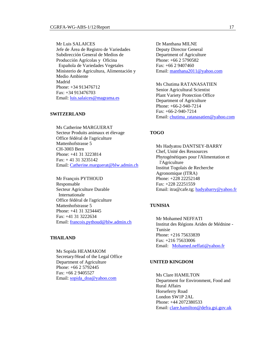Mr Luis SALAICES Jefe de Área de Registro de Variedades Subdirección General de Medios de Producción Agrícolas y Oficina Española de Variedades Vegetales Ministerio de Agricultura, Alimentación y Medio Ambiente Madrid Phone: +34 913476712 Fax: +34 913476703 Email: luis.salaices@magrama.es

#### **SWITZERLAND**

Ms Catherine MARGUERAT Secteur Produits animaux et élevage Office fédéral de l'agriculture Mattenhofstrasse 5 CH-3003 Bern Phone: +41 31 3223814 Fax: + 41 31 3235142 Email: Catherine.marguerat@blw.admin.ch

Mr François PYTHOUD Responsable Secteur Agriculture Durable Internationale Office fédéral de l'agriculture Mattenhofstrasse 5 Phone: +41 31 3234445 Fax: +41 31 3222634 Email: francois.pythoud@blw.admin.ch

#### **THAILAND**

Ms Sopida HEAMAKOM Secretary/Head of the Legal Office Department of Agriculture Phone: +66 2 5792445 Fax: +66 2 9405527 Email: sopida\_doa@yahoo.com

Dr Manthana MILNE Deputy Director General Department of Agriculture Phone: +66 2 5790582 Fax: +66 2 9407460 Email: manthana2011@yahoo.com

Ms Chutima RATANASATIEN Senior Agricultural Scientist Plant Variety Protection Office Department of Agriculture Phone: +66-2-940-7214 Fax: +66-2-940-7214 Email: chutima\_ratanasatien@yahoo.com

## **TOGO**

Ms Hadyatou DANTSEY-BARRY Chef, Unité des Ressources Phytogénétiques pour l'Alimentation et l'Agriculture Institut Togolais de Recherche Agronomique (ITRA) Phone: +228 22252148  $Fax + 228 22251559$ Email: itra@cafe.tg; hadyabarry@yahoo.fr

#### **TUNISIA**

Mr Mohamed NEFFATI Institut des Régions Arides de Médnine - Tunisie Phone: +216 75633839 Fax: +216 75633006 Email: Mohamed.neffati@yahoo.fr

#### **UNITED KINGDOM**

Ms Clare HAMILTON Department for Environment, Food and Rural Affairs Horseferry Road London SW1P 2AL Phone: +44 2072380533 Email: clare.hamilton@defra.gsi.gov.uk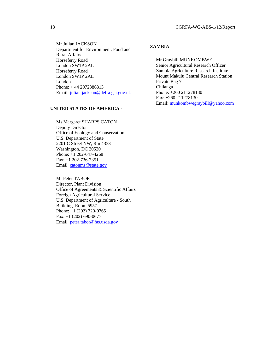Mr Julian JACKSON Department for Environment, Food and Rural Affairs Horseferry Road London SW1P 2AL Horseferry Road London SW1P 2AL London Phone: + 44 2072386813 Email: julian.jackson@defra.gsi.gov.uk

### **UNITED STATES OF AMERICA -**

Ms Margaret SHARPS CATON Deputy Director Office of Ecology and Conservation U.S. Department of State 2201 C Street NW, Rm 4333 Washington, DC 20520 Phone: +1 202-647-4268 Fax: +1 202-736-7351 Email: catonms@state.gov

Mr Peter TABOR Director, Plant Division Office of Agreements & Scientific Affairs Foreign Agricultural Service U.S. Department of Agriculture - South Building, Room 5957 Phone: +1 (202) 720-0765 Fax: +1 (202) 690-0677 Email: peter.tabor@fas.usda.gov

#### **ZAMBIA**

Mr Graybill MUNKOMBWE Senior Agricultural Research Officer Zambia Agriculture Research Institute Mount Makulu Central Research Station Private Bag 7 Chilanga Phone: +260 211278130 Fax: +260 211278130 Email: munkombwegraybill@yahoo.com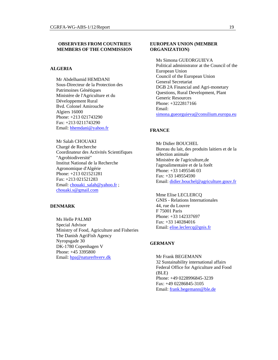#### **OBSERVERS FROM COUNTRIES MEMBERS OF THE COMMISSION**

#### **ALGERIA**

Mr Abdelhamid HEMDANI Sous-Directeur de la Protection des Patrimoines Génétiques Ministère de l'Agriculture et du Développement Rural Bvd. Colonel Amirouche Algiers 16000 Phone: +213 021743290 Fax: +213 0211743290 Email: hhemdani@yahoo.fr

Mr Salah CHOUAKI Chargé de Recherche Coordinateur des Activités Scientifiques "Agrobiodiversité" Institut National de la Recherche Agronomique d'Algérie Phone: +213 021521281 Fax: +213 021521283 Email: chouaki\_salah@yahoo.fr ; chouaki.s@gmail.com

#### **DENMARK**

Ms Helle PALMØ Special Advisor Ministry of Food, Agriculture and Fisheries The Danish AgriFish Agency Nyropsgade 30 DK-1780 Copenhagen V Phone: +45 3395800 Email: hpa@naturerhverv.dk

#### **EUROPEAN UNION (MEMBER ORGANIZATION)**

Ms Simona GUEORGUIEVA Political administrator at the Council of the European Union Council of the European Union General Secretariat DGB 2A Financial and Agri-monetary Questions, Rural Development, Plant Generic Resources Phone: +3222817166 Email: simona.gueorguieva@consilium.europa.eu

#### **FRANCE**

Mr Didier BOUCHEL Bureau du lait, des produits laitiers et de la sélection animale Ministère de l'agriculture,de l'agroalimentaire et de la forêt Phone: +33 1495546 03 Fax: +33 149554590 Email: didier.bouchel@agriculture.gouv.fr

Mme Elise LECLERCQ GNIS - Relations Internationales 44, rue du Louvre F 75001 Paris Phone: +33 142337697 Fax: +33 140284016 Email: elise.leclercq@gnis.fr

#### **GERMANY**

Mr Frank BEGEMANN 32 Sustainability international affairs Federal Office for Agriculture and Food (BLE) Phone: +49 0228996845-3239 Fax: +49 02286845-3105 Email: frank.begemann@ble.de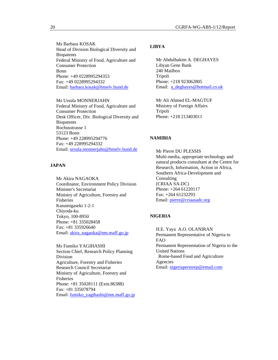Ms Barbara KOSAK Head of Division Biological Diversity and **Biopatents** Federal Ministry of Food, Agriculture and Consumer Protection Bonn Phone: +49 0228995294353 Fax: +49 0228995294332 Email: barbara.kosak@bmelv.bund.de

Ms Ursula MONNERJAHN Federal Ministry of Food, Agriculture and Consumer Protection Desk Officer, Div. Biological Diversity and **Biopatents** Rochusstrasse 1 53123 Bonn Phone: +49 228995294776 Fax: +49 228995294332 Email: ursula.monnerjahn@bmelv.bund.de

# **JAPAN**

Mr Akira NAGAOKA Coordinator, Environment Policy Division Minister's Secretariat Ministry of Agriculture, Forestry and Fisheries Kasumigaseki 1-2-1 Chiyoda-ku Tokyo, 100-8950 Phone: +81 335028458 Fax: +81 335926640 Email: akira\_nagaoka@nm.maff.go.jp

Ms Fumiko YAGIHASHI Section Chief, Research Policy Planning Division Agriculture, Forestry and Fisheries Research Council Secretariat Ministry of Agriculture, Forestry and Fisheries Phone: +81 35028111 (Extn.86388) Fax: +81 335078794 Email: fumiko\_yagihashi@nm.maff.go.jp

#### **LIBYA**

Mr Abdulhakim A. DEGHAYES Libyan Gene Bank 240 Mailbox Tripoli Phone: +218 923062805 Email: a\_deghayes@hotmail.co.uk

Mr Ali Ahmed EL-MAGTUF Ministry of Foreign Affairs Tripoli Phone: +218 213403011

## **NAMIBIA**

Mr Pierre DU PLESSIS Multi-media, appropriate technology and natural products consultant at the Centre for Research, Information, Action in Africa, Southern Africa-Development and Consulting (CRIAA SA-DC) Phone: +264 61220117 Fax: +264 61232293 Email: pierre@criaasadc.org

#### **NIGERIA**

H.E. Yaya A.O. OLANIRAN Permanent Representative of Nigeria to FAO Permanent Representation of Nigeria to the United Nations Rome-based Food and Agriculture Agencies Email: nigeriapermrep@email.com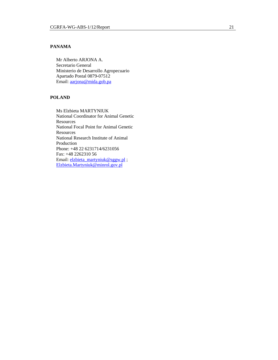# **PANAMA**

Mr Alberto ARJONA A. Secretario General Ministerio de Desarrollo Agropecuario Apartado Postal 0879-07512 Email: aarjona@mida.gob.pa

# **POLAND**

Ms Elzbieta MARTYNIUK National Coordinator for Animal Genetic Resources National Focal Point for Animal Genetic **Resources** National Research Institute of Animal Production Phone: +48 22 6231714/6231056 Fax: +48 2262310 56 Email: elzbieta\_martyniuk@sggw.pl ; Elzbieta.Martyniuk@minrol.gov.pl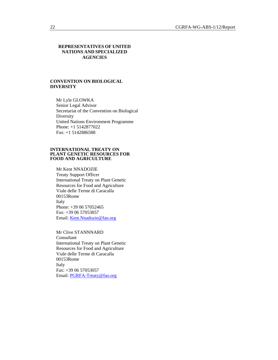#### **REPRESENTATIVES OF UNITED NATIONS AND SPECIALIZED AGENCIES**

#### **CONVENTION ON BIOLOGICAL DIVERSITY**

Mr Lyle GLOWKA Senior Legal Advisor Secretariat of the Convention on Biological Diversity United Nations Environment Programme Phone: +1 5142877022 Fax: +1 5142886588

#### **INTERNATIONAL TREATY ON PLANT GENETIC RESOURCES FOR FOOD AND AGRICULTURE**

Mr Kent NNADOZIE Treaty Support Officer International Treaty on Plant Genetic Resources for Food and Agriculture Viale delle Terme di Caracalla 00153Rome Italy Phone: +39 06 57052465 Fax: +39 06 57053057 Email: Kent.Nnadozie@fao.org

Mr Clive STANNNARD Consultant International Treaty on Plant Genetic Resources for Food and Agriculture Viale delle Terme di Caracalla 00153Rome Italy Fax: +39 06 57053057 Email: PGRFA-Treaty@fao.org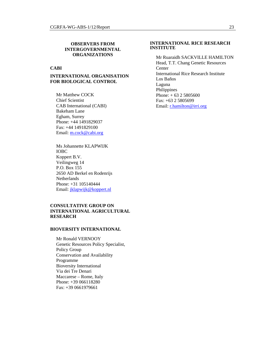#### **OBSERVERS FROM INTERGOVERNMENTAL ORGANIZATIONS**

## **CABI**

## **INTERNATIONAL ORGANISATION FOR BIOLOGICAL CONTROL**

Mr Matthew COCK Chief Scientist CAB International (CABI) Bakeham Lane Egham, Surrey Phone: +44 1491829037 Fax: +44 1491829100 Email: m.cock@cabi.org

Ms Johannette KLAPWIJK IOBC Koppert B.V. Veilingweg 14 P.O. Box 155 2650 AD Berkel en Rodenrijs **Netherlands** Phone: +31 105140444 Email: jklapwijk@koppert.nl

#### **CONSULTATIVE GROUP ON INTERNATIONAL AGRICULTURAL RESEARCH**

#### **BIOVERSITY INTERNATIONAL**

Mr Ronald VERNOOY Genetic Resources Policy Specialist, Policy Group Conservation and Availability Programme Bioversity International Via dei Tre Denari Maccarese – Rome, Italy Phone: +39 066118280 Fax: +39 0661979661

#### **INTERNATIONAL RICE RESEARCH INSTITUTE**

Mr Ruaraidh SACKVILLE HAMILTON Head, T.T. Chang Genetic Resources Center International Rice Research Institute Los Baños Laguna Philippines Phone: + 63 2 5805600 Fax: +63 2 5805699 Email: r.hamilton@irri.org